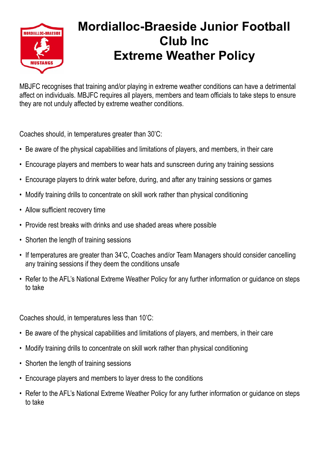

## **Mordialloc-Braeside Junior Football Club Inc Extreme Weather Policy**

MBJFC recognises that training and/or playing in extreme weather conditions can have a detrimental affect on individuals. MBJFC requires all players, members and team officials to take steps to ensure they are not unduly affected by extreme weather conditions.

Coaches should, in temperatures greater than 30'C:

- Be aware of the physical capabilities and limitations of players, and members, in their care
- Encourage players and members to wear hats and sunscreen during any training sessions
- Encourage players to drink water before, during, and after any training sessions or games
- Modify training drills to concentrate on skill work rather than physical conditioning
- Allow sufficient recovery time
- Provide rest breaks with drinks and use shaded areas where possible
- Shorten the length of training sessions
- If temperatures are greater than 34'C, Coaches and/or Team Managers should consider cancelling any training sessions if they deem the conditions unsafe
- Refer to the AFL's National Extreme Weather Policy for any further information or guidance on steps to take

Coaches should, in temperatures less than 10'C:

- Be aware of the physical capabilities and limitations of players, and members, in their care
- Modify training drills to concentrate on skill work rather than physical conditioning
- Shorten the length of training sessions
- Encourage players and members to layer dress to the conditions
- Refer to the AFL's National Extreme Weather Policy for any further information or guidance on steps to take